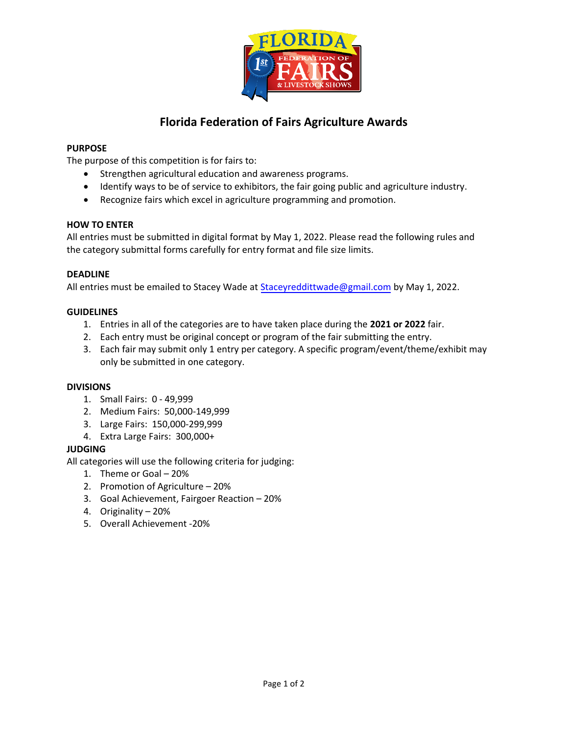

# **Florida Federation of Fairs Agriculture Awards**

## **PURPOSE**

The purpose of this competition is for fairs to:

- Strengthen agricultural education and awareness programs.
- Identify ways to be of service to exhibitors, the fair going public and agriculture industry.
- Recognize fairs which excel in agriculture programming and promotion.

### **HOW TO ENTER**

All entries must be submitted in digital format by May 1, 2022. Please read the following rules and the category submittal forms carefully for entry format and file size limits.

### **DEADLINE**

All entries must be emailed to Stacey Wade at **Staceyreddittwade@gmail.com by May 1**, 2022.

### **GUIDELINES**

- 1. Entries in all of the categories are to have taken place during the **2021 or 2022** fair.
- 2. Each entry must be original concept or program of the fair submitting the entry.
- 3. Each fair may submit only 1 entry per category. A specific program/event/theme/exhibit may only be submitted in one category.

#### **DIVISIONS**

- 1. Small Fairs: 0 49,999
- 2. Medium Fairs: 50,000-149,999
- 3. Large Fairs: 150,000-299,999
- 4. Extra Large Fairs: 300,000+

#### **JUDGING**

All categories will use the following criteria for judging:

- 1. Theme or Goal 20%
- 2. Promotion of Agriculture 20%
- 3. Goal Achievement, Fairgoer Reaction 20%
- 4. Originality 20%
- 5. Overall Achievement -20%